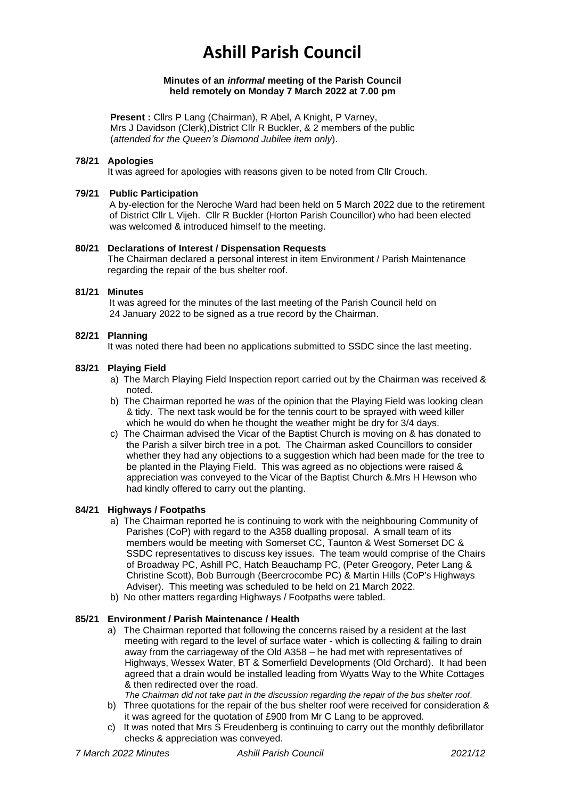# **Ashill Parish Council**

#### **Minutes of an** *informal* **meeting of the Parish Council held remotely on Monday 7 March 2022 at 7.00 pm**

**Present : Clirs P Lang (Chairman), R Abel, A Knight, P Varney,** Mrs J Davidson (Clerk),District Cllr R Buckler, & 2 members of the public (*attended for the Queen's Diamond Jubilee item only*).

## **78/21 Apologies**

It was agreed for apologies with reasons given to be noted from Cllr Crouch.

## **79/21 Public Participation**

A by-election for the Neroche Ward had been held on 5 March 2022 due to the retirement of District Cllr L Vijeh. Cllr R Buckler (Horton Parish Councillor) who had been elected was welcomed & introduced himself to the meeting.

## **80/21 Declarations of Interest / Dispensation Requests**

The Chairman declared a personal interest in item Environment / Parish Maintenance regarding the repair of the bus shelter roof.

## **81/21 Minutes**

It was agreed for the minutes of the last meeting of the Parish Council held on 24 January 2022 to be signed as a true record by the Chairman.

## **82/21 Planning**

It was noted there had been no applications submitted to SSDC since the last meeting.

# **83/21 Playing Field**

- a) The March Playing Field Inspection report carried out by the Chairman was received & noted.
- b) The Chairman reported he was of the opinion that the Playing Field was looking clean & tidy. The next task would be for the tennis court to be sprayed with weed killer which he would do when he thought the weather might be dry for 3/4 days.
- c) The Chairman advised the Vicar of the Baptist Church is moving on & has donated to the Parish a silver birch tree in a pot. The Chairman asked Councillors to consider whether they had any objections to a suggestion which had been made for the tree to be planted in the Playing Field. This was agreed as no objections were raised & appreciation was conveyed to the Vicar of the Baptist Church &.Mrs H Hewson who had kindly offered to carry out the planting.

# **84/21 Highways / Footpaths**

- a) The Chairman reported he is continuing to work with the neighbouring Community of Parishes (CoP) with regard to the A358 dualling proposal. A small team of its members would be meeting with Somerset CC, Taunton & West Somerset DC & SSDC representatives to discuss key issues. The team would comprise of the Chairs of Broadway PC, Ashill PC, Hatch Beauchamp PC, (Peter Greogory, Peter Lang & Christine Scott), Bob Burrough (Beercrocombe PC) & Martin Hills (CoP's Highways Adviser). This meeting was scheduled to be held on 21 March 2022.
- b) No other matters regarding Highways / Footpaths were tabled.

# **85/21 Environment / Parish Maintenance / Health**

a) The Chairman reported that following the concerns raised by a resident at the last meeting with regard to the level of surface water - which is collecting & failing to drain away from the carriageway of the Old A358 – he had met with representatives of Highways, Wessex Water, BT & Somerfield Developments (Old Orchard). It had been agreed that a drain would be installed leading from Wyatts Way to the White Cottages & then redirected over the road.

*The Chairman did not take part in the discussion regarding the repair of the bus shelter roof*.

- b) Three quotations for the repair of the bus shelter roof were received for consideration & it was agreed for the quotation of £900 from Mr C Lang to be approved.
- c) It was noted that Mrs S Freudenberg is continuing to carry out the monthly defibrillator checks & appreciation was conveyed.